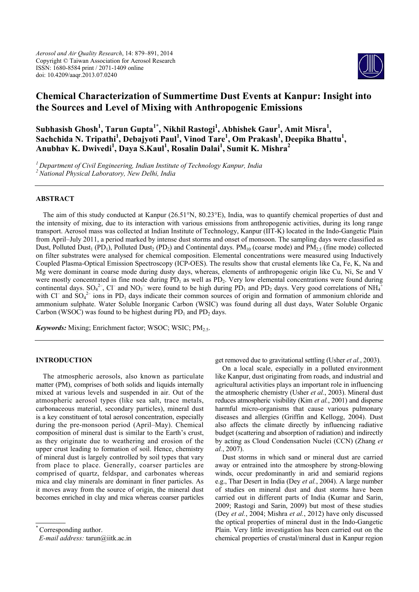

# **Chemical Characterization of Summertime Dust Events at Kanpur: Insight into the Sources and Level of Mixing with Anthropogenic Emissions**

**Subhasish Ghosh<sup>1</sup> , Tarun Gupta1\*, Nikhil Rastogi<sup>1</sup> , Abhishek Gaur<sup>1</sup> , Amit Misra<sup>1</sup> , Sachchida N. Tripathi<sup>1</sup> , Debajyoti Paul<sup>1</sup> , Vinod Tare<sup>1</sup> , Om Prakash<sup>1</sup> , Deepika Bhattu<sup>1</sup> , Anubhav K. Dwivedi<sup>1</sup> , Daya S.Kaul<sup>1</sup> , Rosalin Dalai<sup>1</sup> , Sumit K. Mishra<sup>2</sup>**

*<sup>1</sup>Department of Civil Engineering, Indian Institute of Technology Kanpur, India* 

*<sup>2</sup>National Physical Laboratory, New Delhi, India* 

# **ABSTRACT**

The aim of this study conducted at Kanpur (26.51°N, 80.23°E), India, was to quantify chemical properties of dust and the intensity of mixing, due to its interaction with various emissions from anthropogenic activities, during its long range transport. Aerosol mass was collected at Indian Institute of Technology, Kanpur (IIT-K) located in the Indo-Gangetic Plain from April–July 2011, a period marked by intense dust storms and onset of monsoon. The sampling days were classified as Dust, Polluted Dust<sub>1</sub> (PD<sub>1</sub>), Polluted Dust<sub>2</sub> (PD<sub>2</sub>) and Continental days. PM<sub>10</sub> (coarse mode) and PM<sub>2.5</sub> (fine mode) collected on filter substrates were analysed for chemical composition. Elemental concentrations were measured using Inductively Coupled Plasma-Optical Emission Spectroscopy (ICP-OES). The results show that crustal elements like Ca, Fe, K, Na and Mg were dominant in coarse mode during dusty days, whereas, elements of anthropogenic origin like Cu, Ni, Se and V were mostly concentrated in fine mode during  $PD_1$  as well as  $PD_2$ . Very low elemental concentrations were found during continental days.  $SO_4^2$ , Cl<sup>-</sup> and NO<sub>3</sub><sup>-</sup> were found to be high during PD<sub>1</sub> and PD<sub>2</sub> days. Very good correlations of NH<sub>4</sub><sup>+</sup> with Cl<sup>–</sup> and  $SO_4^2$ <sup>–</sup> ions in PD<sub>1</sub> days indicate their common sources of origin and formation of ammonium chloride and ammonium sulphate. Water Soluble Inorganic Carbon (WSIC) was found during all dust days, Water Soluble Organic Carbon (WSOC) was found to be highest during  $PD_1$  and  $PD_2$  days.

*Keywords:* Mixing: Enrichment factor: WSOC; WSIC: PM<sub>2.5</sub>.

# **INTRODUCTION**

The atmospheric aerosols, also known as particulate matter (PM), comprises of both solids and liquids internally mixed at various levels and suspended in air. Out of the atmospheric aerosol types (like sea salt, trace metals, carbonaceous material, secondary particles), mineral dust is a key constituent of total aerosol concentration, especially during the pre-monsoon period (April–May). Chemical composition of mineral dust is similar to the Earth's crust, as they originate due to weathering and erosion of the upper crust leading to formation of soil. Hence, chemistry of mineral dust is largely controlled by soil types that vary from place to place. Generally, coarser particles are comprised of quartz, feldspar, and carbonates whereas mica and clay minerals are dominant in finer particles. As it moves away from the source of origin, the mineral dust becomes enriched in clay and mica whereas coarser particles

*E-mail address:* tarun@iitk.ac.in

get removed due to gravitational settling (Usher *et al.*, 2003).

On a local scale, especially in a polluted environment like Kanpur, dust originating from roads, and industrial and agricultural activities plays an important role in influencing the atmospheric chemistry (Usher *et al.*, 2003). Mineral dust reduces atmospheric visibility (Kim *et al.*, 2001) and disperse harmful micro-organisms that cause various pulmonary diseases and allergies (Griffin and Kellogg, 2004). Dust also affects the climate directly by influencing radiative budget (scattering and absorption of radiation) and indirectly by acting as Cloud Condensation Nuclei (CCN) (Zhang *et al.*, 2007).

Dust storms in which sand or mineral dust are carried away or entrained into the atmosphere by strong-blowing winds, occur predominantly in arid and semiarid regions e.g., Thar Desert in India (Dey *et al.*, 2004). A large number of studies on mineral dust and dust storms have been carried out in different parts of India (Kumar and Sarin, 2009; Rastogi and Sarin, 2009) but most of these studies (Dey *et al.*, 2004; Mishra *et al.*, 2012) have only discussed the optical properties of mineral dust in the Indo-Gangetic Plain. Very little investigation has been carried out on the chemical properties of crustal/mineral dust in Kanpur region

<sup>\*</sup> Corresponding author.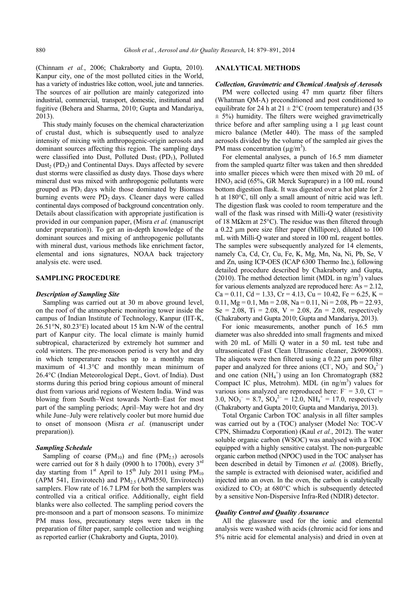(Chinnam *et al.*, 2006; Chakraborty and Gupta, 2010). Kanpur city, one of the most polluted cities in the World, has a variety of industries like cotton, wool, jute and tanneries. The sources of air pollution are mainly categorized into industrial, commercial, transport, domestic, institutional and fugitive (Behera and Sharma, 2010; Gupta and Mandariya, 2013).

This study mainly focuses on the chemical characterization of crustal dust, which is subsequently used to analyze intensity of mixing with anthropogenic-origin aerosols and dominant sources affecting this region. The sampling days were classified into Dust, Polluted Dust<sub>1</sub> (PD<sub>1</sub>), Polluted  $Dust<sub>2</sub> (PD<sub>2</sub>)$  and Continental Days. Days affected by severe dust storms were classified as dusty days. Those days where mineral dust was mixed with anthropogenic pollutants were grouped as  $PD_1$  days while those dominated by Biomass burning events were  $PD_2$  days. Cleaner days were called continental days composed of background concentration only. Details about classification with appropriate justification is provided in our companion paper, (Misra *et al.* (manuscript under preparation)). To get an in-depth knowledge of the dominant sources and mixing of anthropogenic pollutants with mineral dust, various methods like enrichment factor, elemental and ions signatures, NOAA back trajectory analysis etc. were used.

### **SAMPLING PROCEDURE**

#### *Description of Sampling Site*

Sampling was carried out at 30 m above ground level, on the roof of the atmospheric monitoring tower inside the campus of Indian Institute of Technology, Kanpur (IIT-K, 26.51°N, 80.23°E) located about 15 km N-W of the central part of Kanpur city. The local climate is mainly humid subtropical, characterized by extremely hot summer and cold winters. The pre-monsoon period is very hot and dry in which temperature reaches up to a monthly mean maximum of 41.3°C and monthly mean minimum of 26.4°C (Indian Meteorological Dept., Govt. of India). Dust storms during this period bring copious amount of mineral dust from various arid regions of Western India. Wind was blowing from South–West towards North–East for most part of the sampling periods; April–May were hot and dry while June–July were relatively cooler but more humid due to onset of monsoon (Misra *et al.* (manuscript under preparation)).

## *Sampling Schedule*

Sampling of coarse  $(PM_{10})$  and fine  $(PM_{2.5})$  aerosols were carried out for 8 h daily (0900 h to 1700h), every 3<sup>rd</sup> day starting from 1<sup>st</sup> April to 15<sup>th</sup> July 2011 using  $PM_{10}$ (APM 541, Envirotech) and  $PM_{2.5}$  (APM550, Envirotech) samplers. Flow rate of 16.7 LPM for both the samplers was controlled via a critical orifice. Additionally, eight field blanks were also collected. The sampling period covers the pre-monsoon and a part of monsoon seasons. To minimize PM mass loss, precautionary steps were taken in the preparation of filter paper, sample collection and weighing as reported earlier (Chakraborty and Gupta, 2010).

### **ANALYTICAL METHODS**

#### *Collection, Gravimetric and Chemical Analysis of Aerosols*

PM were collected using 47 mm quartz fiber filters (Whatman QM-A) preconditioned and post conditioned to equilibrate for 24 h at  $21 \pm 2$ °C (room temperature) and (35  $\pm$  5%) humidity. The filters were weighed gravimetrically thrice before and after sampling using a 1 µg least count micro balance (Metler 440). The mass of the sampled aerosols divided by the volume of the sampled air gives the PM mass concentration  $(\mu g/m^3)$ .

For elemental analyses, a punch of 16.5 mm diameter from the sampled quartz filter was taken and then shredded into smaller pieces which were then mixed with 20 mL of HNO<sub>3</sub> acid (65%, GR Merck Suprapure) in a 100 mL round bottom digestion flask. It was digested over a hot plate for 2 h at 180°C, till only a small amount of nitric acid was left. The digestion flask was cooled to room temperature and the wall of the flask was rinsed with Milli-Q water (resistivity of 18 MΩcm at 25°C). The residue was then filtered through a 0.22 µm pore size filter paper (Millipore), diluted to 100 mL with Milli-Q water and stored in 100 mL reagent bottles. The samples were subsequently analyzed for 14 elements, namely Ca, Cd, Cr, Cu, Fe, K, Mg, Mn, Na, Ni, Pb, Se, V and Zn, using ICP-OES (ICAP 6300 Thermo Inc.), following detailed procedure described by Chakraborty and Gupta, (2010). The method detection limit (MDL in  $\text{ng/m}^3$ ) values for various elements analyzed are reproduced here:  $As = 2.12$ ,  $Ca = 0.11$ ,  $Cd = 1.33$ ,  $Cr = 4.13$ ,  $Cu = 10.42$ ,  $Fe = 6.25$ ,  $K =$ 0.11,  $Mg = 0.1$ ,  $Mn = 2.08$ ,  $Na = 0.11$ ,  $Ni = 2.08$ ,  $Pb = 22.93$ , Se = 2.08, Ti = 2.08, V = 2.08, Zn = 2.08, respectively (Chakraborty and Gupta 2010; Gupta and Mandariya, 2013).

For ionic measurements, another punch of 16.5 mm diameter was also shredded into small fragments and mixed with 20 mL of Milli Q water in a 50 mL test tube and ultrasonicated (Fast Clean Ultrasonic cleaner, 2k909008). The aliquots were then filtered using a 0.22 um pore filter paper and analyzed for three anions  $(Cl^{\dagger}, NO_3^{\dagger}$  and  $SO_4^{\,2-})$ and one cation  $(NH_4^+)$  using an Ion Chromatograph (882 Compact IC plus, Metrohm). MDL (in  $ng/m<sup>3</sup>$ ) values for various ions analyzed are reproduced here:  $F^- = 3.0$ ,  $Cl^- =$ 3.0,  $NO_3^- = 8.7$ ,  $SO_4^{2-} = 12.0$ ,  $NH_4^+ = 17.0$ , respectively (Chakraborty and Gupta 2010; Gupta and Mandariya, 2013).

Total Organic Carbon TOC analysis in all filter samples was carried out by a (TOC) analyser (Model No: TOC-V CPN, Shimadzu Corporation) (Kaul *et al.*, 2012). The water soluble organic carbon (WSOC) was analysed with a TOC equipped with a highly sensitive catalyst. The non-purgeable organic carbon method (NPOC) used in the TOC analyser has been described in detail by Timonen *et al.* (2008). Briefly, the sample is extracted with deionised water, acidified and injected into an oven. In the oven, the carbon is catalytically oxidized to  $CO<sub>2</sub>$  at 680°C which is subsequently detected by a sensitive Non-Dispersive Infra-Red (NDIR) detector.

### *Quality Control and Quality Assurance*

All the glassware used for the ionic and elemental analysis were washed with acids (chromic acid for ions and 5% nitric acid for elemental analysis) and dried in oven at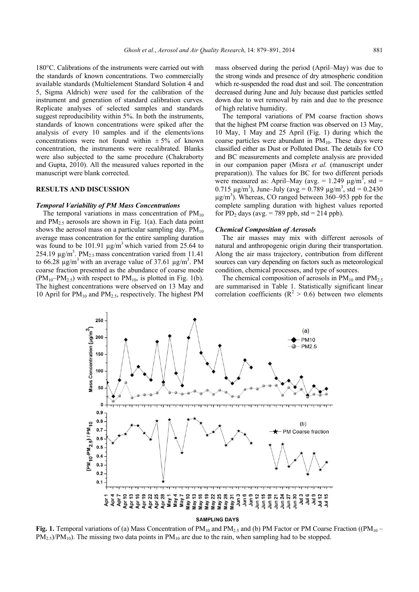180°C. Calibrations of the instruments were carried out with the standards of known concentrations. Two commercially available standards (Multielement Standard Solution 4 and 5, Sigma Aldrich) were used for the calibration of the instrument and generation of standard calibration curves. Replicate analyses of selected samples and standards suggest reproducibility within 5%. In both the instruments, standards of known concentrations were spiked after the analysis of every 10 samples and if the elements/ions concentrations were not found within  $\pm 5\%$  of known concentration, the instruments were recalibrated. Blanks were also subjected to the same procedure (Chakraborty and Gupta, 2010). All the measured values reported in the manuscript were blank corrected.

### **RESULTS AND DISCUSSION**

## *Temporal Variability of PM Mass Concentrations*

The temporal variations in mass concentration of  $PM_{10}$ and  $PM_{2.5}$  aerosols are shown in Fig. 1(a). Each data point shows the aerosol mass on a particular sampling day.  $PM_{10}$ average mass concentration for the entire sampling duration was found to be 101.91  $\mu$ g/m<sup>3</sup> which varied from 25.64 to 254.19  $\mu$ g/m<sup>3</sup>. PM<sub>2.5</sub> mass concentration varied from 11.41 to 66.28  $\mu$ g/m<sup>3</sup> with an average value of 37.61  $\mu$ g/m<sup>3</sup>. PM coarse fraction presented as the abundance of coarse mode  $(PM_{10}-PM_{2.5})$  with respect to  $PM_{10}$ , is plotted in Fig. 1(b). The highest concentrations were observed on 13 May and 10 April for  $PM_{10}$  and  $PM_{2.5}$ , respectively. The highest PM

mass observed during the period (April–May) was due to the strong winds and presence of dry atmospheric condition which re-suspended the road dust and soil. The concentration decreased during June and July because dust particles settled down due to wet removal by rain and due to the presence of high relative humidity.

The temporal variations of PM coarse fraction shows that the highest PM coarse fraction was observed on 13 May, 10 May, 1 May and 25 April (Fig. 1) during which the coarse particles were abundant in  $PM_{10}$ . These days were classified either as Dust or Polluted Dust. The details for CO and BC measurements and complete analysis are provided in our companion paper (Misra *et al.* (manuscript under preparation)). The values for BC for two different periods were measured as: April–May (avg. = 1.249  $\mu$ g/m<sup>3</sup>, std = 0.715  $\mu$ g/m<sup>3</sup>), June–July (avg = 0.789  $\mu$ g/m<sup>3</sup>, std = 0.2430 µg/m<sup>3</sup>). Whereas, CO ranged between 360–953 ppb for the complete sampling duration with highest values reported for  $PD_2$  days (avg. = 789 ppb, std = 214 ppb).

## *Chemical Composition of Aerosols*

The air masses may mix with different aerosols of natural and anthropogenic origin during their transportation. Along the air mass trajectory, contribution from different sources can vary depending on factors such as meteorological condition, chemical processes, and type of sources.

The chemical composition of aerosols in  $PM_{10}$  and  $PM_{2.5}$ are summarised in Table 1. Statistically significant linear correlation coefficients ( $R^2 > 0.6$ ) between two elements



## **SAMPLING DAYS**

**Fig. 1.** Temporal variations of (a) Mass Concentration of PM<sub>10</sub> and PM<sub>2</sub>, and (b) PM Factor or PM Coarse Fraction ((PM<sub>10</sub> –  $PM_{2.5}/PM_{10}$ ). The missing two data points in  $PM_{10}$  are due to the rain, when sampling had to be stopped.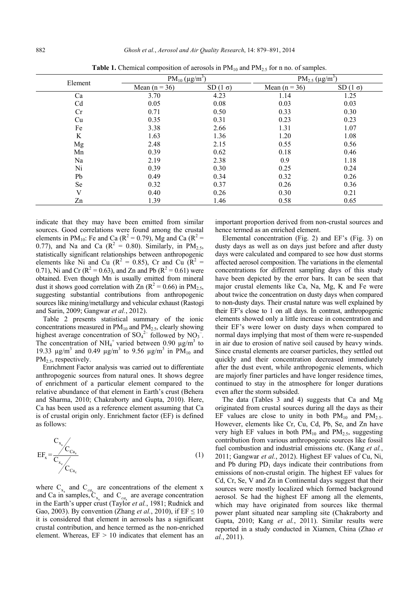| Element        | $PM_{10} (\mu g/m^3)$ |                | $PM_{2.5} (\mu g/m^3)$ |                |
|----------------|-----------------------|----------------|------------------------|----------------|
|                | Mean $(n = 36)$       | $SD(1 \sigma)$ | Mean $(n = 36)$        | $SD(1 \sigma)$ |
| Ca             | 3.70                  | 4.23           | 1.14                   | 1.25           |
| C <sub>d</sub> | 0.05                  | 0.08           | 0.03                   | 0.03           |
| Cr             | 0.71                  | 0.50           | 0.33                   | 0.30           |
| Cu             | 0.35                  | 0.31           | 0.23                   | 0.23           |
| Fe             | 3.38                  | 2.66           | 1.31                   | 1.07           |
| K              | 1.63                  | 1.36           | 1.20                   | 1.08           |
| Mg             | 2.48                  | 2.15           | 0.55                   | 0.56           |
| Mn             | 0.39                  | 0.62           | 0.18                   | 0.46           |
| Na             | 2.19                  | 2.38           | 0.9                    | 1.18           |
| Ni             | 0.39                  | 0.30           | 0.25                   | 0.24           |
| Pb             | 0.49                  | 0.34           | 0.32                   | 0.26           |
| <b>Se</b>      | 0.32                  | 0.37           | 0.26                   | 0.36           |
| V              | 0.40                  | 0.26           | 0.30                   | 0.21           |
| Zn             | 1.39                  | 1.46           | 0.58                   | 0.65           |

**Table 1.** Chemical composition of aerosols in  $PM_{10}$  and  $PM_{2.5}$  for n no. of samples.

indicate that they may have been emitted from similar sources. Good correlations were found among the crustal elements in PM<sub>10</sub>: Fe and Ca ( $R^2 = 0.79$ ), Mg and Ca ( $R^2 =$ 0.77), and Na and Ca ( $R^2 = 0.80$ ). Similarly, in PM<sub>2.5</sub>, statistically significant relationships between anthropogenic elements like Ni and Cu ( $R^2 = 0.85$ ), Cr and Cu ( $R^2 = 0.85$ ) 0.71), Ni and Cr ( $R^2 = 0.63$ ), and Zn and Pb ( $R^2 = 0.61$ ) were obtained. Even though Mn is usually emitted from mineral dust it shows good correlation with  $\text{Zn}$  ( $\text{R}^2$  = 0.66) in PM<sub>2.5</sub>, suggesting substantial contributions from anthropogenic sources like mining/metallurgy and vehicular exhaust (Rastogi and Sarin, 2009; Gangwar *et al.*, 2012).

Table 2 presents statistical summary of the ionic concentrations measured in  $PM_{10}$  and  $PM_{2.5}$ , clearly showing highest average concentration of  $SO_4^2$  followed by  $NO_3^-$ . The concentration of NH<sub>4</sub><sup>+</sup> varied between 0.90  $\mu$ g/m<sup>3</sup> to 19.33  $\mu$ g/m<sup>3</sup> and 0.49  $\mu$ g/m<sup>3</sup> to 9.56  $\mu$ g/m<sup>3</sup> in PM<sub>10</sub> and  $PM_{2.5}$ , respectively.

Enrichment Factor analysis was carried out to differentiate anthropogenic sources from natural ones. It shows degree of enrichment of a particular element compared to the relative abundance of that element in Earth's crust (Behera and Sharma, 2010; Chakraborty and Gupta, 2010). Here, Ca has been used as a reference element assuming that Ca is of crustal origin only. Enrichment factor (EF) is defined as follows:

$$
EF_x = \frac{C_{x_s}}{C_{x_c}} \frac{C_{Ca_s}}{C_{Ca_c}}
$$
 (1)

where  $C_{x_s}$  and  $C_{ca_s}$  are concentrations of the element x and Ca in samples,  $C_{x_s}$  and  $C_{ca_s}$  are average concentration in the Earth's upper crust (Taylor *et al.*, 1981; Rudnick and Gao, 2003). By convention (Zhang *et al.*, 2010), if  $EF \le 10$ it is considered that element in aerosols has a significant crustal contribution, and hence termed as the non-enriched element. Whereas, EF > 10 indicates that element has an

important proportion derived from non-crustal sources and hence termed as an enriched element.

Elemental concentration (Fig. 2) and EF's (Fig. 3) on dusty days as well as on days just before and after dusty days were calculated and compared to see how dust storms affected aerosol composition. The variations in the elemental concentrations for different sampling days of this study have been depicted by the error bars. It can be seen that major crustal elements like Ca, Na, Mg, K and Fe were about twice the concentration on dusty days when compared to non-dusty days. Their crustal nature was well explained by their EF's close to 1 on all days. In contrast, anthropogenic elements showed only a little increase in concentration and their EF's were lower on dusty days when compared to normal days implying that most of them were re-suspended in air due to erosion of native soil caused by heavy winds. Since crustal elements are coarser particles, they settled out quickly and their concentration decreased immediately after the dust event, while anthropogenic elements, which are majorly finer particles and have longer residence times, continued to stay in the atmosphere for longer durations even after the storm subsided.

The data (Tables 3 and 4) suggests that Ca and Mg originated from crustal sources during all the days as their EF values are close to unity in both  $PM_{10}$  and  $PM_{2.5}$ . However, elements like Cr, Cu, Cd, Pb, Se, and Zn have very high EF values in both  $PM_{10}$  and  $PM_{2.5}$ , suggesting contribution from various anthropogenic sources like fossil fuel combustion and industrial emissions etc. (Kang *et al.*, 2011; Gangwar *et al.*, 2012). Highest EF values of Cu, Ni, and Pb during  $PD_1$  days indicate their contributions from emissions of non-crustal origin. The highest EF values for Cd, Cr, Se, V and Zn in Continental days suggest that their sources were mostly localized which formed background aerosol. Se had the highest EF among all the elements, which may have originated from sources like thermal power plant situated near sampling site (Chakraborty and Gupta, 2010; Kang *et al.*, 2011). Similar results were reported in a study conducted in Xiamen, China (Zhao *et al.*, 2011).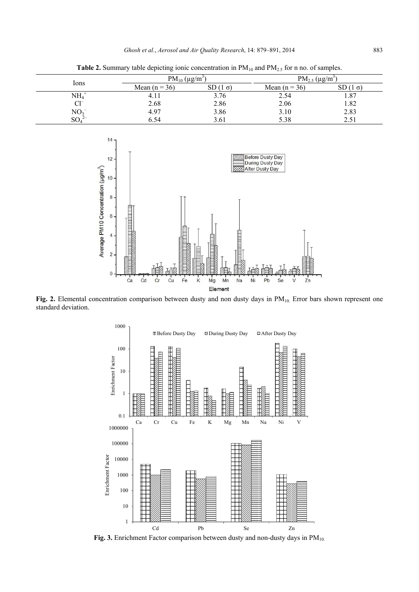|                 |                 | PM <sub>10</sub> ( $\mu$ g/m <sup>3</sup> ) |                 | $PM_{2.5} (\mu g/m^3)$ |  |
|-----------------|-----------------|---------------------------------------------|-----------------|------------------------|--|
| Ions            | Mean $(n = 36)$ | $SD(1 \sigma)$                              | Mean $(n = 36)$ | $SD(1 \sigma)$         |  |
| $NH4+$          | 4.11            | 3.76                                        | 2.54            | 1.87                   |  |
| $Cl^-$          | 2.68            | 2.86                                        | 2.06            | 1.82                   |  |
| NO <sub>3</sub> | 4.97            | 3.86                                        | 3.10            | 2.83                   |  |
| $SO_4$          | 6.54            | 3.61                                        | 5.38            | 2.51                   |  |

**Table 2.** Summary table depicting ionic concentration in  $PM_{10}$  and  $PM_{2.5}$  for n no. of samples.



Fig. 2. Elemental concentration comparison between dusty and non dusty days in PM<sub>10.</sub> Error bars shown represent one standard deviation.



Fig. 3. Enrichment Factor comparison between dusty and non-dusty days in PM<sub>10.</sub>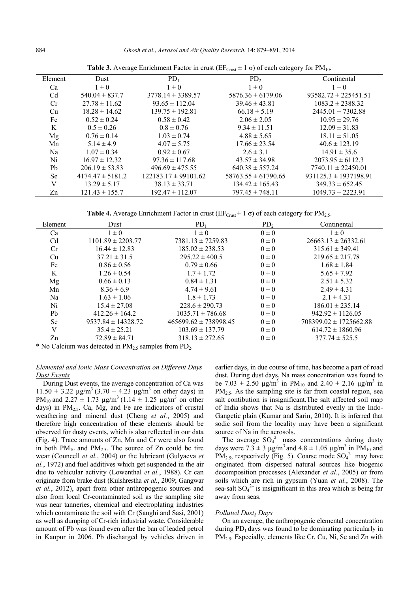| Element       | Dust                 | $PD_1$                   | PD <sub>2</sub>         | Continental               |
|---------------|----------------------|--------------------------|-------------------------|---------------------------|
| Ca            | $1 \pm 0$            | $1\pm 0$                 | $1\pm 0$                | $1\pm 0$                  |
| Cd            | $540.04 \pm 837.7$   | $3778.14 \pm 3389.57$    | $5876.36 \pm 6179.06$   | $93582.72 \pm 225451.51$  |
| Cr            | $27.78 \pm 11.62$    | $93.65 \pm 112.04$       | $39.46 \pm 43.81$       | $1083.2 \pm 2388.32$      |
| Cu            | $18.28 \pm 14.62$    | $139.75 \pm 192.81$      | $66.18 \pm 5.19$        | $2445.01 \pm 7302.88$     |
| Fe            | $0.52 \pm 0.24$      | $0.58 \pm 0.42$          | $2.06 \pm 2.05$         | $10.95 \pm 29.76$         |
| K             | $0.5 \pm 0.26$       | $0.8 \pm 0.76$           | $9.34 \pm 11.51$        | $12.09 \pm 31.83$         |
| Mg            | $0.76 \pm 0.14$      | $1.03 \pm 0.74$          | $4.88 \pm 5.65$         | $18.11 \pm 51.05$         |
| Mn            | $5.14 \pm 4.9$       | $4.07 \pm 5.75$          | $17.66 \pm 23.54$       | $40.6 \pm 123.19$         |
| Na            | $1.07 \pm 0.34$      | $0.92 \pm 0.67$          | $2.6 \pm 3.1$           | $14.91 \pm 35.6$          |
| Ni            | $16.97 \pm 12.32$    | $97.36 \pm 117.68$       | $43.57 \pm 34.98$       | $2073.95 \pm 6112.3$      |
| Pb            | $206.19 \pm 53.83$   | $496.69 \pm 475.55$      | $640.38 \pm 557.24$     | $7740.11 \pm 22450.01$    |
| <sub>Se</sub> | $4174.47 \pm 5181.2$ | $122183.17 \pm 99101.62$ | $58763.55 \pm 61790.65$ | $931125.3 \pm 1937198.91$ |
| V             | $13.29 \pm 5.17$     | $38.13 \pm 33.71$        | $134.42 \pm 165.43$     | $349.33 \pm 652.45$       |
| Zn            | $121.43 \pm 155.7$   | $192.47 \pm 112.07$      | $797.45 \pm 748.11$     | $1049.73 \pm 2223.91$     |

**Table 3.** Average Enrichment Factor in crust ( $EF_{Crust} \pm 1 \sigma$ ) of each category for PM<sub>10</sub>.

**Table 4.** Average Enrichment Factor in crust ( $EF_{Cust} \pm 1 \sigma$ ) of each category for PM<sub>2.5</sub>.

| Element        | Dust                   | $PD_1$                    | PD <sub>2</sub> | Continental                |
|----------------|------------------------|---------------------------|-----------------|----------------------------|
| Ca             | $1\pm 0$               | $1 \pm 0$                 | $0\pm 0$        | $1\pm 0$                   |
| C <sub>d</sub> | $1101.89 \pm 2203.77$  | $7381.13 \pm 7259.83$     | $0\pm 0$        | $26663.13 \pm 26332.61$    |
| Cr             | $16.44 \pm 12.83$      | $185.02 \pm 238.53$       | $0\pm 0$        | $315.61 \pm 349.41$        |
| Cu             | $37.21 \pm 31.5$       | $295.22 \pm 400.5$        | $0\pm 0$        | $219.65 \pm 217.78$        |
| Fe             | $0.86 \pm 0.56$        | $0.79 \pm 0.66$           | $0\pm 0$        | $1.68 \pm 1.84$            |
| K              | $1.26 \pm 0.54$        | $1.7 \pm 1.72$            | $0 \pm 0$       | $5.65 \pm 7.92$            |
| Mg             | $0.66 \pm 0.13$        | $0.84 \pm 1.31$           | $0\pm 0$        | $2.51 \pm 5.32$            |
| Mn             | $8.36 \pm 6.9$         | $4.74 \pm 9.61$           | $0\pm 0$        | $2.49 \pm 4.31$            |
| Na             | $1.63 \pm 1.06$        | $1.8 \pm 1.73$            | $0\pm 0$        | $2.1 \pm 4.31$             |
| Ni             | $15.4 \pm 27.08$       | $228.6 \pm 290.73$        | $0\pm 0$        | $186.01 \pm 235.14$        |
| Pb             | $412.26 \pm 164.2$     | $1035.71 \pm 786.68$      | $0\pm 0$        | $942.92 \pm 1126.05$       |
| Se             | $9537.84 \pm 14328.72$ | $465699.62 \pm 738998.45$ | $0\pm 0$        | $708399.02 \pm 1725662.88$ |
| V              | $35.4 \pm 25.21$       | $103.69 \pm 137.79$       | $0\pm 0$        | $614.72 \pm 1860.96$       |
| Zn             | $72.89 \pm 84.71$      | $318.13 \pm 272.65$       | $0\pm 0$        | $377.74 \pm 525.5$         |

 $*$  No Calcium was detected in PM<sub>2.5</sub> samples from PD<sub>2</sub>.

# *Elemental and Ionic Mass Concentration on Different Days Dust Events*

During Dust events, the average concentration of Ca was  $11.50 \pm 3.22 \text{ µg/m}^3 (3.70 \pm 4.23 \text{ µg/m}^3 \text{ on other days})$  in PM<sub>10</sub> and 2.27  $\pm$  1.73  $\mu$ g/m<sup>3</sup> (1.14  $\pm$  1.25  $\mu$ g/m<sup>3</sup> on other days) in  $PM<sub>2.5</sub>$ . Ca, Mg, and Fe are indicators of crustal weathering and mineral dust (Cheng *et al.*, 2005) and therefore high concentration of these elements should be observed for dusty events, which is also reflected in our data (Fig. 4). Trace amounts of Zn, Mn and Cr were also found in both  $PM_{10}$  and  $PM_{2.5}$ . The source of Zn could be tire wear (Councell *et al.*, 2004) or the lubricant (Gulyaeva *et al.*, 1972) and fuel additives which get suspended in the air due to vehicular activity (Lowenthal *et al.*, 1988). Cr can originate from brake dust (Kulshrestha *et al.*, 2009; Gangwar *et al.*, 2012), apart from other anthropogenic sources and also from local Cr-contaminated soil as the sampling site was near tanneries, chemical and electroplating industries which contaminate the soil with Cr (Sanghi and Sasi, 2001) as well as dumping of Cr-rich industrial waste. Considerable amount of Pb was found even after the ban of leaded petrol in Kanpur in 2006. Pb discharged by vehicles driven in

earlier days, in due course of time, has become a part of road dust. During dust days, Na mass concentration was found to be 7.03  $\pm$  2.50  $\mu$ g/m<sup>3</sup> in PM<sub>10</sub> and 2.40  $\pm$  2.16  $\mu$ g/m<sup>3</sup> in PM<sub>2.5</sub>. As the sampling site is far from coastal region, sea salt contibution is insignificant.The salt affected soil map of India shows that Na is distributed evenly in the Indo-Gangetic plain (Kumar and Sarin, 2010). It is inferred that sodic soil from the locality may have been a significant source of Na in the aerosols.

The average  $SO_4^2$  mass concentrations during dusty days were  $7.3 \pm 3 \mu g/m^3$  and  $4.8 \pm 1.05 \mu g/m^3$  in PM<sub>10</sub> and  $PM<sub>2.5</sub>$ , respectively (Fig. 5). Coarse mode  $SO<sub>4</sub><sup>2–</sup>$  may have originated from dispersed natural sources like biogenic decomposition processes (Alexander *et al.*, 2005) or from soils which are rich in gypsum (Yuan *et al.*, 2008). The sea-salt  $SO_4^2$  is insignificant in this area which is being far away from seas.

#### *Polluted Dust1 Days*

On an average, the anthropogenic elemental concentration during  $PD_1$  days was found to be dominating particularly in PM<sub>2.5</sub>. Especially, elements like Cr, Cu, Ni, Se and Zn with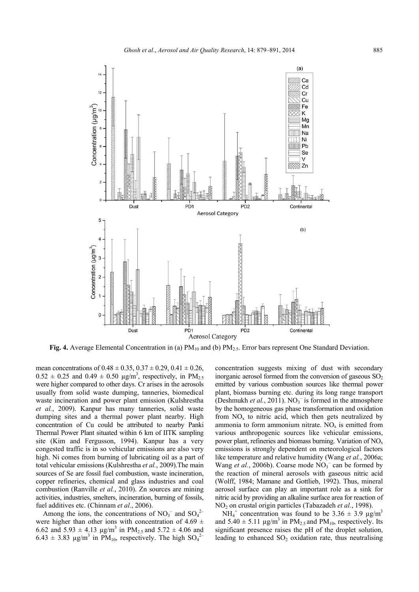

**Fig. 4.** Average Elemental Concentration in (a) PM<sub>10</sub> and (b) PM<sub>2.5</sub>. Error bars represent One Standard Deviation.

mean concentrations of  $0.48 \pm 0.35$ ,  $0.37 \pm 0.29$ ,  $0.41 \pm 0.26$ ,  $0.52 \pm 0.25$  and  $0.49 \pm 0.50$   $\mu$ g/m<sup>3</sup>, respectively, in PM<sub>2.5</sub> were higher compared to other days. Cr arises in the aerosols usually from solid waste dumping, tanneries, biomedical waste incineration and power plant emission (Kulshrestha *et al.*, 2009). Kanpur has many tanneries, solid waste dumping sites and a thermal power plant nearby. High concentration of Cu could be attributed to nearby Panki Thermal Power Plant situated within 6 km of IITK sampling site (Kim and Fergusson, 1994). Kanpur has a very congested traffic is in so vehicular emissions are also very high. Ni comes from burning of lubricating oil as a part of total vehicular emissions (Kulshrestha *et al.*, 2009).The main sources of Se are fossil fuel combustion, waste incineration, copper refineries, chemical and glass industries and coal combustion (Ranville *et al.*, 2010). Zn sources are mining activities, industries, smelters, incineration, burning of fossils, fuel additives etc. (Chinnam *et al.*, 2006).

Among the ions, the concentrations of  $NO_3^-$  and  $SO_4^{2-}$ were higher than other ions with concentration of 4.69  $\pm$ 6.62 and  $5.93 \pm 4.13$  µg/m<sup>3</sup> in PM<sub>2.5</sub> and  $5.72 \pm 4.06$  and  $6.43 \pm 3.83 \mu g/m^3$  in PM<sub>10</sub>, respectively. The high SO<sub>4</sub><sup>2</sup>

concentration suggests mixing of dust with secondary inorganic aerosol formed from the conversion of gaseous  $SO<sub>2</sub>$ emitted by various combustion sources like thermal power plant, biomass burning etc. during its long range transport (Deshmukh *et al.*, 2011).  $NO<sub>3</sub><sup>-</sup>$  is formed in the atmosphere by the homogeneous gas phase transformation and oxidation from  $NO<sub>x</sub>$  to nitric acid, which then gets neutralized by ammonia to form ammonium nitrate.  $NO<sub>x</sub>$  is emitted from various anthropogenic sources like vehicular emissions, power plant, refineries and biomass burning. Variation of  $NO<sub>x</sub>$ emissions is strongly dependent on meteorological factors like temperature and relative humidity (Wang *et al.*, 2006a; Wang *et al.*, 2006b). Coarse mode  $NO<sub>3</sub><sup>-</sup>$  can be formed by the reaction of mineral aerosols with gaseous nitric acid (Wolff, 1984; Mamane and Gottlieb, 1992). Thus, mineral aerosol surface can play an important role as a sink for nitric acid by providing an alkaline surface area for reaction of NO2 on crustal origin particles (Tabazadeh *et al.*, 1998).

NH<sub>4</sub><sup>+</sup> concentration was found to be 3.36  $\pm$  3.9  $\mu$ g/m<sup>3</sup> and  $5.40 \pm 5.11 \mu g/m^3$  in PM<sub>2.5</sub> and PM<sub>10</sub>, respectively. Its significant presence raises the pH of the droplet solution, leading to enhanced  $SO_2$  oxidation rate, thus neutralising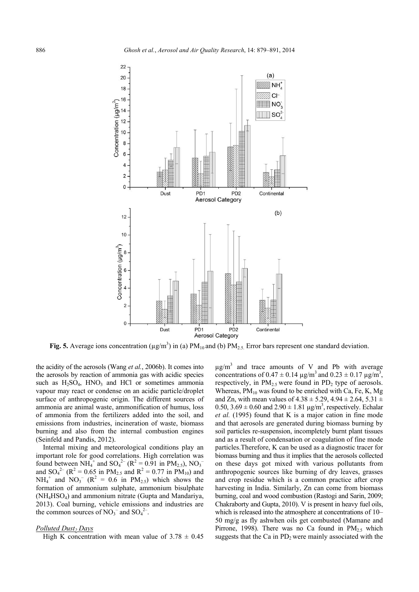

Fig. 5. Average ions concentration ( $\mu$ g/m<sup>3</sup>) in (a) PM<sub>10</sub> and (b) PM<sub>2.5.</sub> Error bars represent one standard deviation.

the acidity of the aerosols (Wang *et al.*, 2006b). It comes into the aerosols by reaction of ammonia gas with acidic species such as  $H_2SO_4$ ,  $HNO_3$  and  $HCl$  or sometimes ammonia vapour may react or condense on an acidic particle/droplet surface of anthropogenic origin. The different sources of ammonia are animal waste, ammonification of humus, loss of ammonia from the fertilizers added into the soil, and emissions from industries, incineration of waste, biomass burning and also from the internal combustion engines (Seinfeld and Pandis, 2012).

Internal mixing and meteorological conditions play an important role for good correlations. High correlation was found between  $NH_4^+$  and  $SO_4^{2-}$  ( $R^2 = 0.91$  in  $PM_{2.5}$ ),  $NO_3^$ and  $SO_4^{2-}$  ( $R^2 = 0.65$  in PM<sub>2.5</sub> and  $R^2 = 0.77$  in PM<sub>10</sub>) and  $NH_4^+$  and  $NO_3^-$  ( $R^2 = 0.6$  in  $PM_{2.5}$ ) which shows the formation of ammonium sulphate, ammonium bisulphate (NH4HSO4) and ammonium nitrate (Gupta and Mandariya, 2013). Coal burning, vehicle emissions and industries are the common sources of  $NO_3^-$  and  $SO_4^2^-$ .

#### *Polluted Dust2 Days*

High K concentration with mean value of  $3.78 \pm 0.45$ 

 $\mu$ g/m<sup>3</sup> and trace amounts of V and Pb with average concentrations of  $0.47 \pm 0.14 \mu g/m^3$  and  $0.23 \pm 0.17 \mu g/m^3$ , respectively, in  $PM_{2.5}$  were found in  $PD_2$  type of aerosols. Whereas,  $PM_{10}$  was found to be enriched with Ca, Fe, K, Mg and Zn, with mean values of  $4.38 \pm 5.29$ ,  $4.94 \pm 2.64$ ,  $5.31 \pm 1.64$ 0.50,  $3.69 \pm 0.60$  and  $2.90 \pm 1.81$  µg/m<sup>3</sup>, respectively. Echalar *et al.* (1995) found that K is a major cation in fine mode and that aerosols are generated during biomass burning by soil particles re-suspension, incompletely burnt plant tissues and as a result of condensation or coagulation of fine mode particles.Therefore, K can be used as a diagnostic tracer for biomass burning and thus it implies that the aerosols collected on these days got mixed with various pollutants from anthropogenic sources like burning of dry leaves, grasses and crop residue which is a common practice after crop harvesting in India. Similarly, Zn can come from biomass burning, coal and wood combustion (Rastogi and Sarin, 2009; Chakraborty and Gupta, 2010). V is present in heavy fuel oils, which is released into the atmosphere at concentrations of 10– 50 mg/g as fly ashwhen oils get combusted (Mamane and Pirrone, 1998). There was no Ca found in  $PM_2$ , which suggests that the Ca in  $PD_2$  were mainly associated with the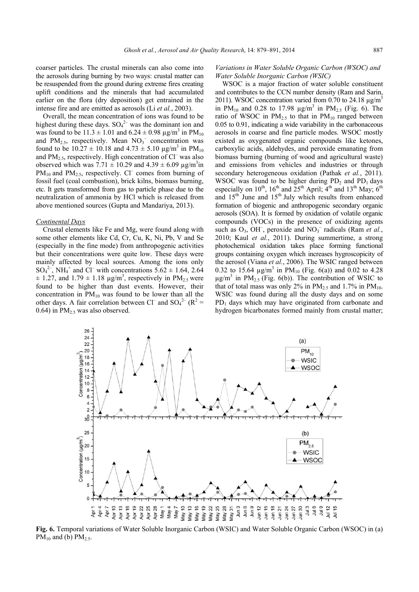coarser particles. The crustal minerals can also come into the aerosols during burning by two ways: crustal matter can be resuspended from the ground during extreme fires creating uplift conditions and the minerals that had accumulated earlier on the flora (dry deposition) get entrained in the intense fire and are emitted as aerosols (Li *et al.*, 2003).

Overall, the mean concentration of ions was found to be highest during these days.  $SO_4^2$  was the dominant ion and was found to be  $11.3 \pm 1.01$  and  $6.24 \pm 0.98$   $\mu$ g/m<sup>3</sup> in PM<sub>10</sub> and  $PM_{2.5}$ , respectively. Mean  $NO_3^-$  concentration was found to be  $10.27 \pm 10.18$  and  $4.73 \pm 5.10$   $\mu$ g/m<sup>3</sup> in PM<sub>10</sub> and  $PM_{2.5}$ , respectively. High concentration of Cl<sup>-</sup> was also observed which was  $7.71 \pm 10.29$  and  $4.39 \pm 6.09$   $\mu$ g/m<sup>3</sup>in  $PM_{10}$  and  $PM_{2.5}$ , respectively. Cl<sup>–</sup> comes from burning of fossil fuel (coal combustion), brick kilns, biomass burning, etc. It gets transformed from gas to particle phase due to the neutralization of ammonia by HCl which is released from above mentioned sources (Gupta and Mandariya, 2013).

#### *Continental Days*

Crustal elements like Fe and Mg, were found along with some other elements like Cd, Cr, Cu, K, Ni, Pb, V and Se (especially in the fine mode) from anthropogenic activities but their concentrations were quite low. These days were mainly affected by local sources. Among the ions only  $SO_4^{2-}$ , NH<sub>4</sub><sup>+</sup> and Cl<sup>-</sup> with concentrations 5.62  $\pm$  1.64, 2.64  $\pm$  1.27, and 1.79  $\pm$  1.18  $\mu$ g/m<sup>3</sup>, respectively in PM<sub>2.5</sub> were found to be higher than dust events. However, their concentration in  $PM_{10}$  was found to be lower than all the other days. A fair correlation between Cl<sup>–</sup> and SO<sub>4</sub><sup>2</sup> = ( $R^2$  = 0.64) in  $PM<sub>2.5</sub>$  was also observed.

> $26 24 -$

# *Variations in Water Soluble Organic Carbon (WSOC) and Water Soluble Inorganic Carbon (WSIC)*

WSOC is a major fraction of water soluble constituent and contributes to the CCN number density (Ram and Sarin, 2011). WSOC concentration varied from 0.70 to 24.18  $\mu$ g/m<sup>3</sup> in PM<sub>10</sub> and 0.28 to 17.98  $\mu$ g/m<sup>3</sup> in PM<sub>2.5</sub> (Fig. 6). The ratio of WSOC in  $PM_{2.5}$  to that in  $PM_{10}$  ranged between 0.05 to 0.91, indicating a wide variability in the carbonaceous aerosols in coarse and fine particle modes. WSOC mostly existed as oxygenated organic compounds like ketones, carboxylic acids, aldehydes, and peroxide emanating from biomass burning (burning of wood and agricultural waste) and emissions from vehicles and industries or through secondary heterogeneous oxidation (Pathak *et al.*, 2011). WSOC was found to be higher during  $PD_2$  and  $PD_1$  days especially on  $10^{th}$ ,  $16^{th}$  and  $25^{th}$  April;  $4^{th}$  and  $13^{th}$  May;  $6^{th}$ and  $15<sup>th</sup>$  June and  $15<sup>th</sup>$  July which results from enhanced formation of biogenic and anthropogenic secondary organic aerosols (SOA). It is formed by oxidation of volatile organic compounds (VOCs) in the presence of oxidizing agents such as O<sub>3</sub>, OH<sup>-</sup>, peroxide and NO<sub>3</sub><sup>-</sup> radicals (Ram *et al.*, 2010; Kaul *et al.*, 2011). During summertime, a strong photochemical oxidation takes place forming functional groups containing oxygen which increases hygroscopicity of the aerosol (Viana *et al.*, 2006). The WSIC ranged between 0.32 to 15.64  $\mu$ g/m<sup>3</sup> in PM<sub>10</sub> (Fig. 6(a)) and 0.02 to 4.28  $\mu$ g/m<sup>3</sup> in PM<sub>2.5</sub> (Fig. 6(b)). The contribution of WSIC to that of total mass was only 2% in  $PM_{2.5}$  and 1.7% in  $PM_{10}$ . WSIC was found during all the dusty days and on some  $PD_1$  days which may have originated from carbonate and hydrogen bicarbonates formed mainly from crustal matter;



**Fig. 6.** Temporal variations of Water Soluble Inorganic Carbon (WSIC) and Water Soluble Organic Carbon (WSOC) in (a) PM<sub>10</sub> and (b) PM<sub>2.5</sub>.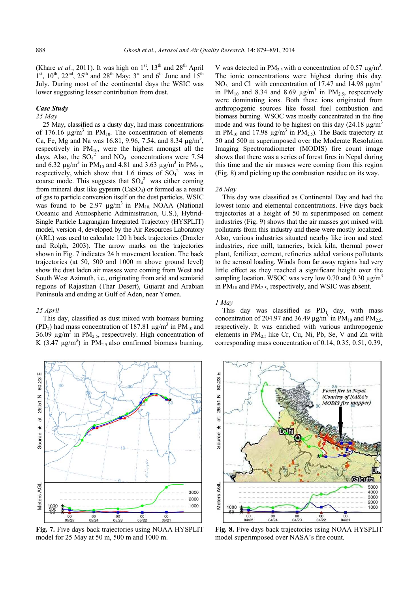(Khare *et al.*, 2011). It was high on  $1<sup>st</sup>$ ,  $13<sup>th</sup>$  and  $28<sup>th</sup>$  April  $1<sup>st</sup>$ ,  $10<sup>th</sup>$ ,  $22<sup>nd</sup>$ ,  $25<sup>th</sup>$  and  $28<sup>th</sup>$  May;  $3<sup>rd</sup>$  and  $6<sup>th</sup>$  June and  $15<sup>th</sup>$ July. During most of the continental days the WSIC was lower suggesting lesser contribution from dust.

### *Case Study*

# *25 May*

25 May, classified as a dusty day, had mass concentrations of 176.16  $\mu$ g/m<sup>3</sup> in PM<sub>10</sub>. The concentration of elements Ca, Fe, Mg and Na was 16.81, 9.96, 7.54, and 8.34  $\mu$ g/m<sup>3</sup>, respectively in  $PM_{10}$ , were the highest amongst all the days. Also, the  $SO_4^2$  and  $NO_3^-$  concentrations were 7.54 and 6.32  $\mu$ g/m<sup>3</sup> in PM<sub>10</sub> and 4.81 and 3.63  $\mu$ g/m<sup>3</sup> in PM<sub>2.5</sub>, respectively, which show that 1.6 times of  $SO_4^2$  was in coarse mode. This suggests that  $SO_4^2$  was either coming from mineral dust like gypsum  $(CaSO<sub>4</sub>)$  or formed as a result of gas to particle conversion itself on the dust particles. WSIC was found to be 2.97  $\mu$ g/m<sup>3</sup> in PM<sub>10</sub>. NOAA (National Oceanic and Atmospheric Administration, U.S.), Hybrid-Single Particle Lagrangian Integrated Trajectory (HYSPLIT) model, version 4, developed by the Air Resources Laboratory (ARL) was used to calculate 120 h back trajectories (Draxler and Rolph, 2003). The arrow marks on the trajectories shown in Fig. 7 indicates 24 h movement location. The back trajectories (at 50, 500 and 1000 m above ground level) show the dust laden air masses were coming from West and South West Azimuth, i.e., originating from arid and semiarid regions of Rajasthan (Thar Desert), Gujarat and Arabian Peninsula and ending at Gulf of Aden, near Yemen.

#### *25 April*

This day, classified as dust mixed with biomass burning (PD<sub>2</sub>) had mass concentration of 187.81  $\mu$ g/m<sup>3</sup> in PM<sub>10</sub> and 36.09  $\mu$ g/m<sup>3</sup> in PM<sub>2.5</sub>, respectively. High concentration of K (3.47  $\mu$ g/m<sup>3</sup>) in PM<sub>2.5</sub> also confirmed biomass burning.



**Fig. 7.** Five days back trajectories using NOAA HYSPLIT model for 25 May at 50 m, 500 m and 1000 m.

V was detected in  $PM_{2.5}$  with a concentration of 0.57  $\mu$ g/m<sup>3</sup>. The ionic concentrations were highest during this day. NO<sub>3</sub><sup>-</sup> and Cl<sup>-</sup> with concentration of 17.47 and 14.98  $\mu$ g/m<sup>3</sup> in  $PM_{10}$  and 8.34 and 8.69  $\mu$ g/m<sup>3</sup> in  $PM_{2.5}$ , respectively were dominating ions. Both these ions originated from anthropogenic sources like fossil fuel combustion and biomass burning. WSOC was mostly concentrated in the fine mode and was found to be highest on this day  $(24.18 \text{ }\mu\text{g/m}^3)$ in PM<sub>10</sub> and 17.98  $\mu$ g/m<sup>3</sup> in PM<sub>2.5</sub>). The Back trajectory at 50 and 500 m superimposed over the Moderate Resolution Imaging Spectroradiometer (MODIS) fire count image shows that there was a series of forest fires in Nepal during this time and the air masses were coming from this region (Fig. 8) and picking up the combustion residue on its way.

## *28 May*

This day was classified as Continental Day and had the lowest ionic and elemental concentrations. Five days back trajectories at a height of 50 m superimposed on cement industries (Fig. 9) shows that the air masses got mixed with pollutants from this industry and these were mostly localized. Also, various industries situated nearby like iron and steel industries, rice mill, tanneries, brick kiln, thermal power plant, fertilizer, cement, refineries added various pollutants to the aerosol loading. Winds from far away regions had very little effect as they reached a significant height over the sampling location. WSOC was very low 0.70 and 0.30  $\mu$ g/m<sup>3</sup> in  $PM_{10}$  and  $PM_{2.5}$ , respectively, and WSIC was absent.

# *1 May*

This day was classified as  $PD_1$  day, with mass concentration of 204.97 and 36.49  $\mu$ g/m<sup>3</sup> in PM<sub>10</sub> and PM<sub>2.5</sub>, respectively. It was enriched with various anthropogenic elements in  $PM<sub>2.5</sub>$  like Cr, Cu, Ni, Pb, Se, V and Zn with corresponding mass concentration of 0.14, 0.35, 0.51, 0.39,



**Fig. 8.** Five days back trajectories using NOAA HYSPLIT model superimposed over NASA's fire count.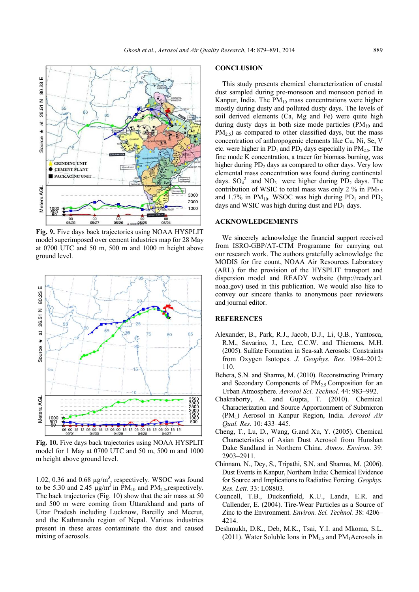

**Fig. 9.** Five days back trajectories using NOAA HYSPLIT model superimposed over cement industries map for 28 May at 0700 UTC and 50 m, 500 m and 1000 m height above ground level.



**Fig. 10.** Five days back trajectories using NOAA HYSPLIT model for 1 May at 0700 UTC and 50 m, 500 m and 1000 m height above ground level.

1.02, 0.36 and 0.68  $\mu$ g/m<sup>3</sup>, respectively. WSOC was found to be 5.30 and 2.45  $\mu$ g/m<sup>3</sup> in PM<sub>10</sub> and PM<sub>2.5</sub>, respectively. The back trajectories (Fig. 10) show that the air mass at 50 and 500 m were coming from Uttarakhand and parts of Uttar Pradesh including Lucknow, Bareilly and Meerut, and the Kathmandu region of Nepal. Various industries present in these areas contaminate the dust and caused mixing of aerosols.

# **CONCLUSION**

This study presents chemical characterization of crustal dust sampled during pre-monsoon and monsoon period in Kanpur, India. The  $PM_{10}$  mass concentrations were higher mostly during dusty and polluted dusty days. The levels of soil derived elements (Ca, Mg and Fe) were quite high during dusty days in both size mode particles  $(PM_{10}$  and  $PM_{2.5}$ ) as compared to other classified days, but the mass concentration of anthropogenic elements like Cu, Ni, Se, V etc. were higher in  $PD_1$  and  $PD_2$  days especially in  $PM_{2.5}$ . The fine mode K concentration, a tracer for biomass burning, was higher during PD<sub>2</sub> days as compared to other days. Very low elemental mass concentration was found during continental days.  $SO_4^2$  and  $NO_3^-$  were higher during PD<sub>2</sub> days. The contribution of WSIC to total mass was only 2 % in  $PM_{2.5}$ and 1.7% in  $PM_{10}$ . WSOC was high during  $PD_1$  and  $PD_2$ days and WSIC was high during dust and  $PD_1$  days.

# **ACKNOWLEDGEMENTS**

We sincerely acknowledge the financial support received from ISRO-GBP/AT-CTM Programme for carrying out our research work. The authors gratefully acknowledge the MODIS for fire count, NOAA Air Resources Laboratory (ARL) for the provision of the HYSPLIT transport and dispersion model and READY website (http://ready.arl. noaa.gov) used in this publication. We would also like to convey our sincere thanks to anonymous peer reviewers and journal editor.

# **REFERENCES**

- Alexander, B., Park, R.J., Jacob, D.J., Li, Q.B., Yantosca, R.M., Savarino, J., Lee, C.C.W. and Thiemens, M.H. (2005). Sulfate Formation in Sea-salt Aerosols: Constraints from Oxygen Isotopes. *J. Geophys. Res.* 1984–2012: 110.
- Behera, S.N. and Sharma, M. (2010). Reconstructing Primary and Secondary Components of  $PM<sub>2.5</sub>$  Composition for an Urban Atmosphere. *Aerosol Sci. Technol.* 44: 983–992.
- Chakraborty, A. and Gupta, T. (2010). Chemical Characterization and Source Apportionment of Submicron (PM1) Aerosol in Kanpur Region, India. *Aerosol Air Qual. Res.* 10: 433–445.
- Cheng, T., Lu, D., Wang, G.and Xu, Y. (2005). Chemical Characteristics of Asian Dust Aerosol from Hunshan Dake Sandland in Northern China. *Atmos. Environ.* 39: 2903–2911.
- Chinnam, N., Dey, S., Tripathi, S.N. and Sharma, M. (2006). Dust Events in Kanpur, Northern India: Chemical Evidence for Source and Implications to Radiative Forcing. *Geophys. Res. Lett.* 33: L08803.
- Councell, T.B., Duckenfield, K.U., Landa, E.R. and Callender, E. (2004). Tire-Wear Particles as a Source of Zinc to the Environment. *Environ. Sci. Technol.* 38: 4206– 4214.
- Deshmukh, D.K., Deb, M.K., Tsai, Y.I. and Mkoma, S.L. (2011). Water Soluble Ions in  $PM_{2.5}$  and  $PM_1$ Aerosols in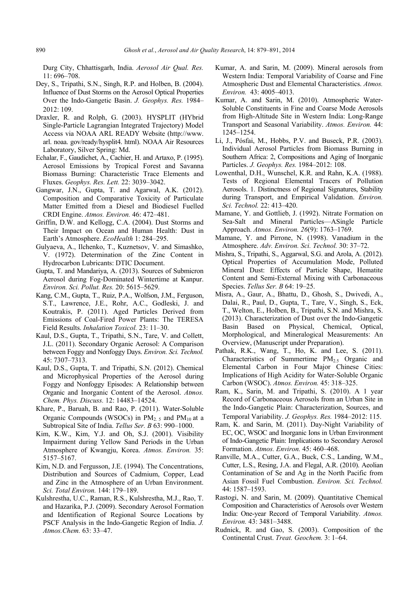Durg City, Chhattisgarh, India. *Aerosol Air Qual. Res.*  11: 696–708.

- Dey, S., Tripathi, S.N., Singh, R.P. and Holben, B. (2004). Influence of Dust Storms on the Aerosol Optical Properties Over the IndoGangetic Basin. *J. Geophys. Res.* 1984– 2012: 109.
- Draxler, R. and Rolph, G. (2003). HYSPLIT (HYbrid Single-Particle Lagrangian Integrated Trajectory) Model Access via NOAA ARL READY Website (http://www. arl. noaa. gov/ready/hysplit4. html). NOAA Air Resources Laboratory, Silver Spring: Md.
- Echalar, F., Gaudichet, A., Cachier, H. and Artaxo, P. (1995). Aerosol Emissions by Tropical Forest and Savanna Biomass Burning: Characteristic Trace Elements and Fluxes. *Geophys. Res. Lett.* 22: 3039–3042.
- Gangwar, J.N., Gupta, T. and Agarwal, A.K. (2012). Composition and Comparative Toxicity of Particulate Matter Emitted from a Diesel and Biodiesel Fuelled CRDI Engine. *Atmos. Environ.* 46: 472–481.
- Griffin, D.W. and Kellogg, C.A. (2004). Dust Storms and Their Impact on Ocean and Human Health: Dust in Earth's Atmosphere. *EcoHealth* 1: 284–295.
- Gulyaeva, A., Ilchenko, T., Kuznetsov, V. and Simashko, V. (1972). Determination of the Zinc Content in Hydrocarbon Lubricants: DTIC Document.
- Gupta, T. and Mandariya, A. (2013). Sources of Submicron Aerosol during Fog-Dominated Wintertime at Kanpur. *Environ. Sci. Pollut. Res.* 20: 5615–5629.
- Kang, C.M., Gupta, T., Ruiz, P.A., Wolfson, J.M., Ferguson, S.T., Lawrence, J.E., Rohr, A.C., Godleski, J. and Koutrakis, P. (2011). Aged Particles Derived from Emissions of Coal-Fired Power Plants: The TERESA Field Results. *Inhalation Toxicol.* 23: 11–30.
- Kaul, D.S., Gupta, T., Tripathi, S.N., Tare, V. and Collett, J.L. (2011). Secondary Organic Aerosol: A Comparison between Foggy and Nonfoggy Days. *Environ. Sci. Technol.*  45: 7307–7313.
- Kaul, D.S., Gupta, T. and Tripathi, S.N. (2012). Chemical and Microphysical Properties of the Aerosol during Foggy and Nonfoggy Episodes: A Relationship between Organic and Inorganic Content of the Aerosol. *Atmos. Chem. Phys. Discuss.* 12: 14483–14524.
- Khare, P., Baruah, B. and Rao, P. (2011). Water-Soluble Organic Compounds (WSOCs) in  $PM_{2.5}$  and  $PM_{10}$  at a Subtropical Site of India. *Tellus Ser. B* 63: 990–1000.
- Kim, K.W., Kim, Y.J. and Oh, S.J. (2001). Visibility Impairment during Yellow Sand Periods in the Urban Atmosphere of Kwangju, Korea. *Atmos. Environ.* 35: 5157–5167.
- Kim, N.D. and Fergusson, J.E. (1994). The Concentrations, Distribution and Sources of Cadmium, Copper, Lead and Zinc in the Atmosphere of an Urban Environment. *Sci. Total Environ.* 144: 179–189.
- Kulshrestha, U.C., Raman, R.S., Kulshrestha, M.J., Rao, T. and Hazarika, P.J. (2009). Secondary Aerosol Formation and Identification of Regional Source Locations by PSCF Analysis in the Indo-Gangetic Region of India. *J. Atmos.Chem.* 63: 33–47.
- Kumar, A. and Sarin, M. (2009). Mineral aerosols from Western India: Temporal Variability of Coarse and Fine Atmospheric Dust and Elemental Characteristics. *Atmos. Environ.* 43: 4005–4013.
- Kumar, A. and Sarin, M. (2010). Atmospheric Water-Soluble Constituents in Fine and Coarse Mode Aerosols from High-Altitude Site in Western India: Long-Range Transport and Seasonal Variability. *Atmos. Environ.* 44: 1245–1254.
- Li, J., Pósfai, M., Hobbs, P.V. and Buseck, P.R. (2003). Individual Aerosol Particles from Biomass Burning in Southern Africa: 2, Compositions and Aging of Inorganic Particles. *J. Geophys. Res.* 1984–2012: 108.
- Lowenthal, D.H., Wunschel, K.R. and Rahn, K.A. (1988). Tests of Regional Elemental Tracers of Pollution Aerosols. 1. Distinctness of Regional Signatures, Stability during Transport, and Empirical Validation. *Environ. Sci. Technol.* 22: 413–420.
- Mamane, Y. and Gottlieb, J. (1992). Nitrate Formation on Sea-Salt and Mineral Particles—ASingle Particle Approach. *Atmos. Environ. 26*(9): 1763–1769.
- Mamane, Y. and Pirrone, N. (1998). Vanadium in the Atmosphere. *Adv. Environ. Sci. Technol.* 30: 37–72.
- Mishra, S., Tripathi, S., Aggarwal, S.G. and Arola, A. (2012). Optical Properties of Accumulation Mode, Polluted Mineral Dust: Effects of Particle Shape, Hematite Content and Semi-External Mixing with Carbonaceous Species. *Tellus Ser. B* 64: 19–25.
- Misra, A., Gaur, A., Bhattu, D., Ghosh, S., Dwivedi, A., Dalai, R., Paul, D., Gupta, T., Tare, V., Singh, S., Eck, T., Welton, E., Holben, B., Tripathi, S.N. and Mishra, S. (2013). Characterization of Dust over the Indo-Gangetic Basin Based on Physical, Chemical, Optical, Morphological, and Mineralogical Measurements: An Overview, (Manuscript under Preparation).
- Pathak, R.K., Wang, T., Ho, K. and Lee, S. (2011). Characteristics of Summertime  $PM<sub>2.5</sub>$  Organic and Elemental Carbon in Four Major Chinese Cities: Implications of High Acidity for Water-Soluble Organic Carbon (WSOC). *Atmos. Environ.* 45: 318–325.
- Ram, K., Sarin, M. and Tripathi, S. (2010). A 1 year Record of Carbonaceous Aerosols from an Urban Site in the Indo-Gangetic Plain: Characterization, Sources, and Temporal Variability. *J. Geophys. Res.* 1984–2012: 115.
- Ram, K. and Sarin, M. (2011). Day-Night Variability of EC, OC, WSOC and Inorganic Ions in Urban Environment of Indo-Gangetic Plain: Implications to Secondary Aerosol Formation. *Atmos. Environ.* 45: 460–468.
- Ranville, M.A., Cutter, G.A., Buck, C.S., Landing, W.M., Cutter, L.S., Resing, J.A. and Flegal, A.R. (2010). Aeolian Contamination of Se and Ag in the North Pacific from Asian Fossil Fuel Combustion. *Environ. Sci. Technol.*  44: 1587–1593.
- Rastogi, N. and Sarin, M. (2009). Quantitative Chemical Composition and Characteristics of Aerosols over Western India: One-year Record of Temporal Variability. *Atmos. Environ.* 43: 3481–3488.
- Rudnick, R. and Gao, S. (2003). Composition of the Continental Crust. *Treat. Geochem.* 3: 1–64.